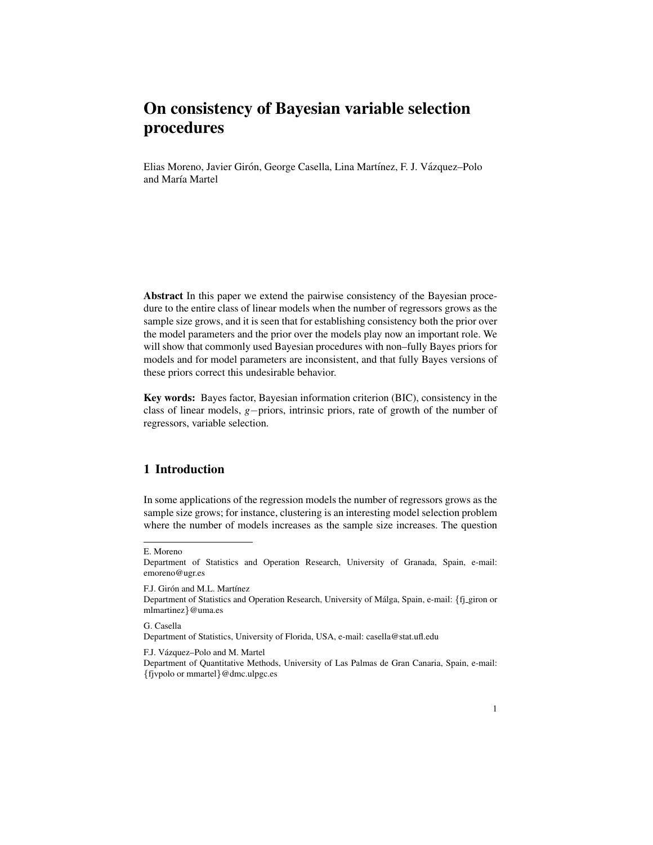# On consistency of Bayesian variable selection procedures

Elias Moreno, Javier Girón, George Casella, Lina Martínez, F. J. Vázquez–Polo and María Martel

Abstract In this paper we extend the pairwise consistency of the Bayesian procedure to the entire class of linear models when the number of regressors grows as the sample size grows, and it is seen that for establishing consistency both the prior over the model parameters and the prior over the models play now an important role. We will show that commonly used Bayesian procedures with non–fully Bayes priors for models and for model parameters are inconsistent, and that fully Bayes versions of these priors correct this undesirable behavior.

Key words: Bayes factor, Bayesian information criterion (BIC), consistency in the class of linear models, *g*−priors, intrinsic priors, rate of growth of the number of regressors, variable selection.

### 1 Introduction

In some applications of the regression models the number of regressors grows as the sample size grows; for instance, clustering is an interesting model selection problem where the number of models increases as the sample size increases. The question

F.J. Girón and M.L. Martínez

G. Casella Department of Statistics, University of Florida, USA, e-mail: casella@stat.ufl.edu

#### F.J. Vázquez–Polo and M. Martel

E. Moreno

Department of Statistics and Operation Research, University of Granada, Spain, e-mail: emoreno@ugr.es

Department of Statistics and Operation Research, University of Málga, Spain, e-mail: {fj-giron or mlmartinez}@uma.es

Department of Quantitative Methods, University of Las Palmas de Gran Canaria, Spain, e-mail: {fjvpolo or mmartel}@dmc.ulpgc.es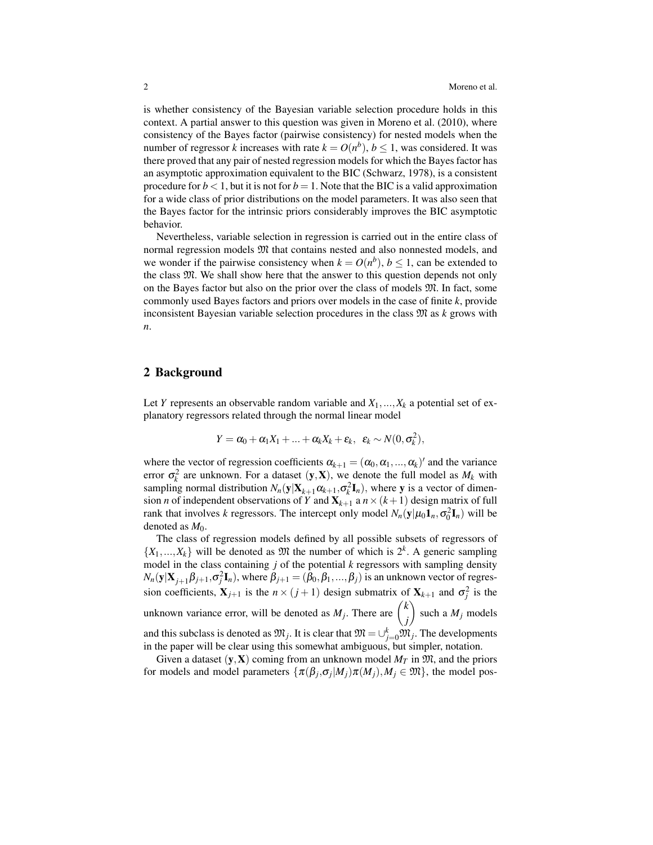is whether consistency of the Bayesian variable selection procedure holds in this context. A partial answer to this question was given in Moreno et al. (2010), where consistency of the Bayes factor (pairwise consistency) for nested models when the number of regressor *k* increases with rate  $k = O(n^b)$ ,  $b \le 1$ , was considered. It was there proved that any pair of nested regression models for which the Bayes factor has an asymptotic approximation equivalent to the BIC (Schwarz, 1978), is a consistent procedure for  $b < 1$ , but it is not for  $b = 1$ . Note that the BIC is a valid approximation for a wide class of prior distributions on the model parameters. It was also seen that the Bayes factor for the intrinsic priors considerably improves the BIC asymptotic behavior.

Nevertheless, variable selection in regression is carried out in the entire class of normal regression models  $\mathfrak{M}$  that contains nested and also nonnested models, and we wonder if the pairwise consistency when  $k = O(n^b)$ ,  $b \le 1$ , can be extended to the class M. We shall show here that the answer to this question depends not only on the Bayes factor but also on the prior over the class of models M. In fact, some commonly used Bayes factors and priors over models in the case of finite *k*, provide inconsistent Bayesian variable selection procedures in the class M as *k* grows with *n*.

### 2 Background

Let *Y* represents an observable random variable and  $X_1, \ldots, X_k$  a potential set of explanatory regressors related through the normal linear model

$$
Y = \alpha_0 + \alpha_1 X_1 + \ldots + \alpha_k X_k + \varepsilon_k, \ \varepsilon_k \sim N(0, \sigma_k^2),
$$

where the vector of regression coefficients  $\alpha_{k+1} = (\alpha_0, \alpha_1, ..., \alpha_k)'$  and the variance error  $\sigma_k^2$  are unknown. For a dataset  $(y, X)$ , we denote the full model as  $M_k$  with sampling normal distribution  $N_n(y|X_{k+1}\alpha_{k+1}, \sigma_k^2 \mathbf{I}_n)$ , where y is a vector of dimension *n* of independent observations of *Y* and  $X_{k+1}$  a  $n \times (k+1)$  design matrix of full rank that involves *k* regressors. The intercept only model  $N_n(y|\mu_0 \mathbf{1}_n, \sigma_0^2 \mathbf{I}_n)$  will be denoted as  $M_0$ .

The class of regression models defined by all possible subsets of regressors of  $\{X_1, \ldots, X_k\}$  will be denoted as  $\mathfrak{M}$  the number of which is  $2^k$ . A generic sampling model in the class containing *j* of the potential *k* regressors with sampling density  $N_n(y|X_{j+1}\beta_{j+1},\sigma_j^2I_n)$ , where  $\beta_{j+1} = (\beta_0,\beta_1,...,\beta_j)$  is an unknown vector of regression coefficients,  $X_{j+1}$  is the  $n \times (j+1)$  design submatrix of  $X_{k+1}$  and  $\sigma_j^2$  is the unknown variance error, will be denoted as  $M_j$ . There are  $\begin{pmatrix} k \\ j \end{pmatrix}$ *j*  $\bigg)$  such a  $M_j$  models and this subclass is denoted as  $\mathfrak{M}_j$ . It is clear that  $\mathfrak{M} = \cup_{j=0}^k \mathfrak{M}_j$ . The developments in the paper will be clear using this somewhat ambiguous, but simpler, notation.

Given a dataset  $(y, X)$  coming from an unknown model  $M_T$  in  $\mathfrak{M}$ , and the priors for models and model parameters  $\{\pi(\beta_j, \sigma_j|M_j)\pi(M_j), M_j \in \mathfrak{M}\}\)$ , the model pos-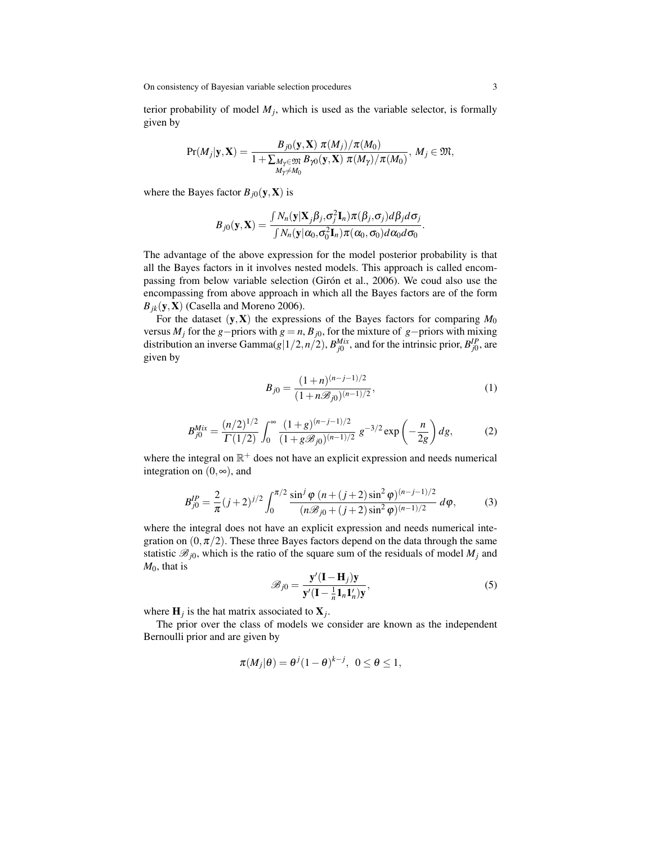terior probability of model  $M_j$ , which is used as the variable selector, is formally given by

$$
\Pr(M_j|\mathbf{y},\mathbf{X}) = \frac{B_{j0}(\mathbf{y},\mathbf{X}) \pi(M_j)/\pi(M_0)}{1 + \sum_{\substack{M_\gamma \in \mathfrak{M} \\ M_\gamma \neq M_0}} B_{\gamma 0}(\mathbf{y},\mathbf{X}) \pi(M_\gamma)/\pi(M_0)}, M_j \in \mathfrak{M},
$$

where the Bayes factor  $B_{j0}(\mathbf{y}, \mathbf{X})$  is

$$
B_{j0}(\mathbf{y}, \mathbf{X}) = \frac{\int N_n(\mathbf{y}|\mathbf{X}_j\boldsymbol{\beta}_j, \sigma_j^2 \mathbf{I}_n)\pi(\boldsymbol{\beta}_j, \sigma_j)d\boldsymbol{\beta}_j d\sigma_j}{\int N_n(\mathbf{y}|\alpha_0, \sigma_0^2 \mathbf{I}_n)\pi(\alpha_0, \sigma_0)d\alpha_0 d\sigma_0}
$$

The advantage of the above expression for the model posterior probability is that all the Bayes factors in it involves nested models. This approach is called encompassing from below variable selection (Girón et al., 2006). We coud also use the encompassing from above approach in which all the Bayes factors are of the form  $B_{ik}$ (y, **X**) (Casella and Moreno 2006).

For the dataset  $(y, X)$  the expressions of the Bayes factors for comparing  $M_0$ versus  $M_j$  for the *g*−priors with *g* = *n*,  $B_{j0}$ , for the mixture of *g*−priors with mixing distribution an inverse Gamma $(g|1/2, n/2)$ ,  $B_{j0}^{Mix}$ , and for the intrinsic prior,  $B_{j0}^{IP}$ , are given by

$$
B_{j0} = \frac{(1+n)^{(n-j-1)/2}}{(1+n\mathcal{B}_{j0})^{(n-1)/2}},
$$
\n(1)

.

$$
B_{j0}^{Mix} = \frac{(n/2)^{1/2}}{\Gamma(1/2)} \int_0^\infty \frac{(1+g)^{(n-j-1)/2}}{(1+g\mathcal{B}_{j0})^{(n-1)/2}} g^{-3/2} \exp\left(-\frac{n}{2g}\right) dg,\tag{2}
$$

where the integral on  $\mathbb{R}^+$  does not have an explicit expression and needs numerical integration on  $(0, \infty)$ , and

$$
B_{j0}^{IP} = \frac{2}{\pi} (j+2)^{j/2} \int_0^{\pi/2} \frac{\sin^j \varphi (n+(j+2)\sin^2 \varphi)^{(n-j-1)/2}}{(n\mathcal{B}_{j0}+(j+2)\sin^2 \varphi)^{(n-1)/2}} d\varphi, \tag{3}
$$

where the integral does not have an explicit expression and needs numerical integration on  $(0, \pi/2)$ . These three Bayes factors depend on the data through the same statistic  $\mathcal{B}_{j0}$ , which is the ratio of the square sum of the residuals of model  $M_j$  and *M*0, that is

$$
\mathscr{B}_{j0} = \frac{\mathbf{y}'(\mathbf{I} - \mathbf{H}_j)\mathbf{y}}{\mathbf{y}'(\mathbf{I} - \frac{1}{n}\mathbf{1}_n\mathbf{1}_n')\mathbf{y}},\tag{5}
$$

where  $\mathbf{H}_j$  is the hat matrix associated to  $\mathbf{X}_j$ .

The prior over the class of models we consider are known as the independent Bernoulli prior and are given by

$$
\pi(M_j|\theta) = \theta^{j}(1-\theta)^{k-j}, \ \ 0 \le \theta \le 1,
$$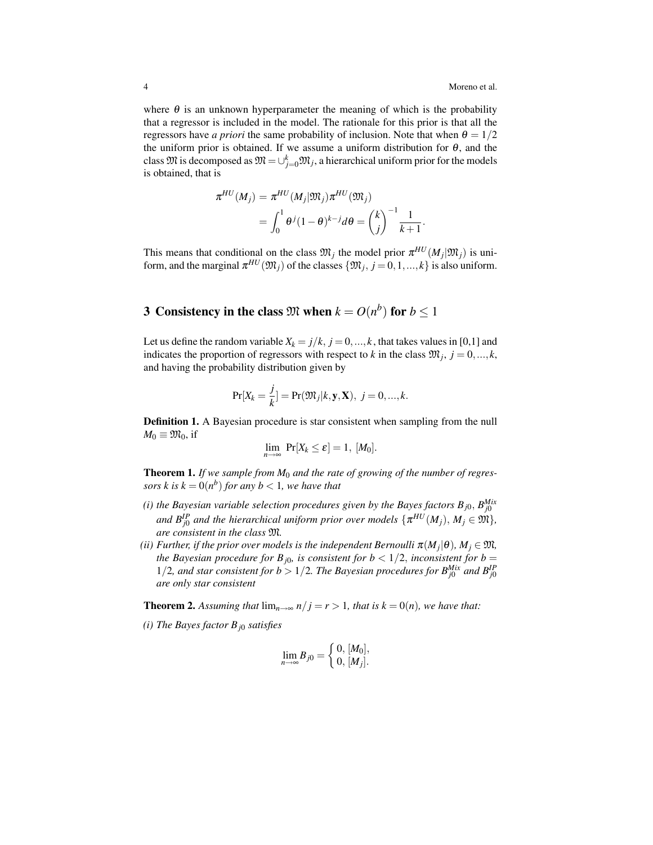where  $\theta$  is an unknown hyperparameter the meaning of which is the probability that a regressor is included in the model. The rationale for this prior is that all the regressors have *a priori* the same probability of inclusion. Note that when  $\theta = 1/2$ the uniform prior is obtained. If we assume a uniform distribution for  $\theta$ , and the class  $\mathfrak{M}$  is decomposed as  $\mathfrak{M} = \cup_{j=0}^k \mathfrak{M}_j$ , a hierarchical uniform prior for the models is obtained, that is

$$
\pi^{HU}(M_j) = \pi^{HU}(M_j|\mathfrak{M}_j)\pi^{HU}(\mathfrak{M}_j)
$$
  
= 
$$
\int_0^1 \theta^j (1-\theta)^{k-j} d\theta = \binom{k}{j}^{-1} \frac{1}{k+1}.
$$

This means that conditional on the class  $\mathfrak{M}_j$  the model prior  $\pi^{HU}(M_j|\mathfrak{M}_j)$  is uniform, and the marginal  $\pi^{HU}(\mathfrak{M}_j)$  of the classes  $\{\mathfrak{M}_j, j=0,1,...,k\}$  is also uniform.

## 3 Consistency in the class  $\mathfrak{M}$  when  $k = O(n^b)$  for  $b \leq 1$

Let us define the random variable  $X_k = j/k$ ,  $j = 0, ..., k$ , that takes values in [0,1] and indicates the proportion of regressors with respect to *k* in the class  $\mathfrak{M}_j$ ,  $j = 0, ..., k$ , and having the probability distribution given by

$$
Pr[X_k = \frac{j}{k}] = Pr(\mathfrak{M}_j|k, \mathbf{y}, \mathbf{X}), \ j = 0, ..., k.
$$

Definition 1. A Bayesian procedure is star consistent when sampling from the null  $M_0 \equiv \mathfrak{M}_0$ , if

$$
\lim_{n\to\infty} \Pr[X_k \leq \varepsilon] = 1, [M_0].
$$

Theorem 1. *If we sample from M*<sup>0</sup> *and the rate of growing of the number of regressors*  $k$  *is*  $k = 0(n<sup>b</sup>)$  *for any*  $b < 1$ *, we have that* 

- *(i) the Bayesian variable selection procedures given by the Bayes factors Bj*0, *B Mix j*0 and  $B_{j0}^{\text{IP}}$  and the hierarchical uniform prior over models  $\{\pi^{\text{HU}}(M_j), M_j \in \mathfrak{M}\},$ *are consistent in the class* M*.*
- *(ii) Further, if the prior over models is the independent Bernoulli*  $\pi(M_j|\theta)$ *,*  $M_j \in \mathfrak{M}$ *, the Bayesian procedure for B*<sub>*j*0</sub>*, is consistent for b* < 1/2*, inconsistent for b* = 1/2, and star consistent for  $b > 1/2$ . The Bayesian procedures for  $B_{j0}^{Mix}$  and  $B_{j0}^{IP}$ *are only star consistent*

**Theorem 2.** Assuming that  $\lim_{n\to\infty} n/j = r > 1$ , that is  $k = 0(n)$ , we have that:

*(i) The Bayes factor Bj*<sup>0</sup> *satisfies*

$$
\lim_{n\to\infty}B_{j0}=\bigg\{\begin{matrix} 0, \, [M_0],\\ 0, \, [M_j].\end{matrix}
$$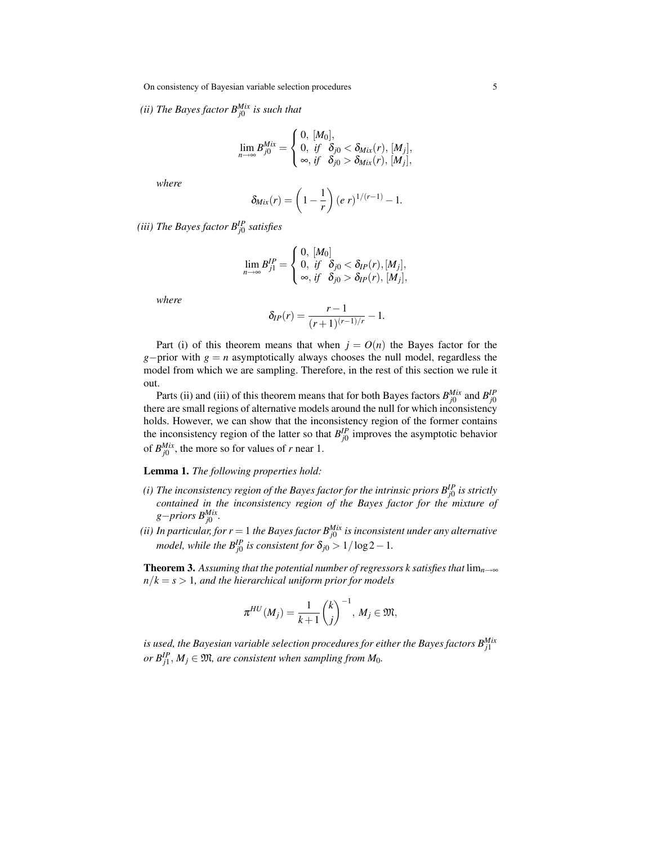On consistency of Bayesian variable selection procedures 5

*(ii) The Bayes factor BMix j*0 *is such that*

$$
\lim_{n\to\infty} B_{j0}^{Mix} = \begin{cases} 0, [M_0], \\ 0, \text{ if } \delta_{j0} < \delta_{Mix}(r), [M_j], \\ \infty, \text{ if } \delta_{j0} > \delta_{Mix}(r), [M_j], \end{cases}
$$

*where*

$$
\delta_{Mix}(r) = \left(1 - \frac{1}{r}\right)(e\ r)^{1/(r-1)} - 1.
$$

*(iii) The Bayes factor BIP j*0 *satisfies*

$$
\lim_{n\to\infty} B_{j1}^{IP} = \begin{cases} 0, [M_0] \\ 0, \text{ if } \delta_{j0} < \delta_{IP}(r), [M_j], \\ \infty, \text{ if } \delta_{j0} > \delta_{IP}(r), [M_j], \end{cases}
$$

*where*

$$
\delta_{IP}(r) = \frac{r-1}{(r+1)^{(r-1)/r}} - 1.
$$

Part (i) of this theorem means that when  $j = O(n)$  the Bayes factor for the *g*−prior with *g* = *n* asymptotically always chooses the null model, regardless the model from which we are sampling. Therefore, in the rest of this section we rule it out.

Parts (ii) and (iii) of this theorem means that for both Bayes factors  $B_{j0}^{Mix}$  and  $B_{j0}^{IP}$ there are small regions of alternative models around the null for which inconsistency holds. However, we can show that the inconsistency region of the former contains the inconsistency region of the latter so that  $B^{IP}_{j0}$  improves the asymptotic behavior of  $B_{j0}^{Mix}$ , the more so for values of *r* near 1.

### Lemma 1. *The following properties hold:*

- *(i) The inconsistency region of the Bayes factor for the intrinsic priors BIP j*0 *is strictly contained in the inconsistency region of the Bayes factor for the mixture of g*−*priors BMix j*0 *.*
- *(ii) In particular, for r* = 1 *the Bayes factor BMix j*0 *is inconsistent under any alternative model, while the*  $B_{j0}^{IP}$  *is consistent for*  $\delta_{j0} > 1/\log 2 - 1$ *.*

**Theorem 3.** Assuming that the potential number of regressors k satisfies that  $\lim_{n\to\infty}$  $n/k = s > 1$ *, and the hierarchical uniform prior for models* 

$$
\pi^{HU}(M_j)=\frac{1}{k+1}\binom{k}{j}^{-1}, M_j\in\mathfrak{M},
$$

*is used, the Bayesian variable selection procedures for either the Bayes factors BMix j*1  $or B^{IP}_{j1}, M_j \in \mathfrak{M}$ , are consistent when sampling from  $M_0$ .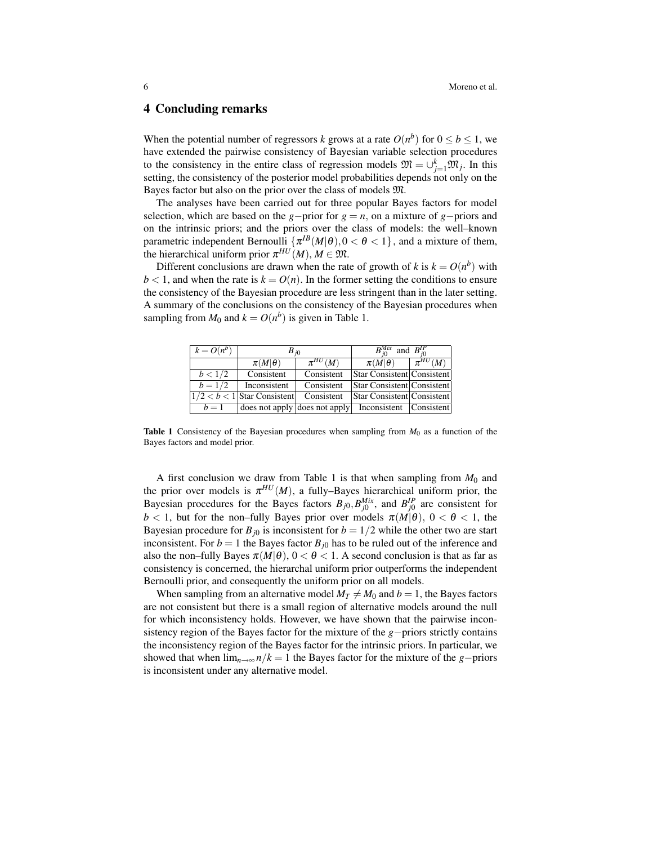### 4 Concluding remarks

When the potential number of regressors *k* grows at a rate  $O(n^b)$  for  $0 \le b \le 1$ , we have extended the pairwise consistency of Bayesian variable selection procedures to the consistency in the entire class of regression models  $\mathfrak{M} = \bigcup_{j=1}^{k} \mathfrak{M}_{j}$ . In this setting, the consistency of the posterior model probabilities depends not only on the Bayes factor but also on the prior over the class of models M.

The analyses have been carried out for three popular Bayes factors for model selection, which are based on the *g*−prior for  $g = n$ , on a mixture of *g*−priors and on the intrinsic priors; and the priors over the class of models: the well–known parametric independent Bernoulli  $\{\pi^{IB}(M|\theta), 0 < \theta < 1\}$ , and a mixture of them, the hierarchical uniform prior  $\pi^{HU}(M)$ ,  $M \in \mathfrak{M}$ .

Different conclusions are drawn when the rate of growth of *k* is  $k = O(n^b)$  with  $b < 1$ , and when the rate is  $k = O(n)$ . In the former setting the conditions to ensure the consistency of the Bayesian procedure are less stringent than in the later setting. A summary of the conclusions on the consistency of the Bayesian procedures when sampling from  $M_0$  and  $k = O(n^b)$  is given in Table 1.

| $k = O(n^b)$ | $B_{i0}$                      |               | $B^{Mix}_{\odot}$<br>and $B_{i0}^{IP}$ |               |
|--------------|-------------------------------|---------------|----------------------------------------|---------------|
|              | $\pi(M \theta)$               | $\pi^{HU}(M)$ | $\pi(M \theta)$                        | $\pi^{HU}(M)$ |
| b < 1/2      | Consistent                    | Consistent    | Star Consistent Consistent             |               |
| $b = 1/2$    | Inconsistent                  | Consistent    | Star Consistent Consistent             |               |
|              | $1/2 < b < 1$ Star Consistent | Consistent    | Star Consistent Consistent             |               |
| $h=1$        | does not apply does not apply |               | Inconsistent                           | Consistent    |

Table 1 Consistency of the Bayesian procedures when sampling from *M*<sup>0</sup> as a function of the Bayes factors and model prior.

A first conclusion we draw from Table 1 is that when sampling from  $M_0$  and the prior over models is  $\pi^{HU}(M)$ , a fully–Bayes hierarchical uniform prior, the Bayesian procedures for the Bayes factors  $B_{j0}$ ,  $B_{j0}^{Mix}$ , and  $B_{j0}^{IP}$  are consistent for  $b < 1$ , but for the non–fully Bayes prior over models  $\pi(M|\theta)$ ,  $0 < \theta < 1$ , the Bayesian procedure for  $B_{j0}$  is inconsistent for  $b = 1/2$  while the other two are start inconsistent. For  $b = 1$  the Bayes factor  $B_{j0}$  has to be ruled out of the inference and also the non–fully Bayes  $\pi(M|\theta)$ ,  $0 < \theta < 1$ . A second conclusion is that as far as consistency is concerned, the hierarchal uniform prior outperforms the independent Bernoulli prior, and consequently the uniform prior on all models.

When sampling from an alternative model  $M_T \neq M_0$  and  $b = 1$ , the Bayes factors are not consistent but there is a small region of alternative models around the null for which inconsistency holds. However, we have shown that the pairwise inconsistency region of the Bayes factor for the mixture of the *g*−priors strictly contains the inconsistency region of the Bayes factor for the intrinsic priors. In particular, we showed that when  $\lim_{n\to\infty} n/k = 1$  the Bayes factor for the mixture of the *g*−priors is inconsistent under any alternative model.